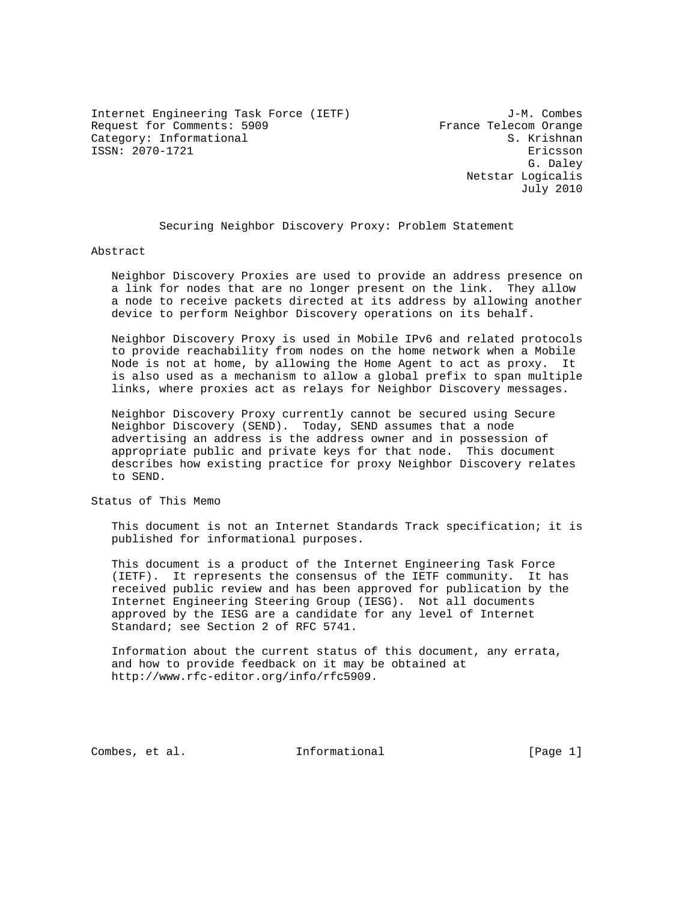Internet Engineering Task Force (IETF) J-M. Combes Request for Comments: 5909 France Telecom Orange Category: Informational S. Krishnan ISSN: 2070-1721 Ericsson

 G. Daley Netstar Logicalis July 2010

Securing Neighbor Discovery Proxy: Problem Statement

Abstract

 Neighbor Discovery Proxies are used to provide an address presence on a link for nodes that are no longer present on the link. They allow a node to receive packets directed at its address by allowing another device to perform Neighbor Discovery operations on its behalf.

 Neighbor Discovery Proxy is used in Mobile IPv6 and related protocols to provide reachability from nodes on the home network when a Mobile Node is not at home, by allowing the Home Agent to act as proxy. It is also used as a mechanism to allow a global prefix to span multiple links, where proxies act as relays for Neighbor Discovery messages.

 Neighbor Discovery Proxy currently cannot be secured using Secure Neighbor Discovery (SEND). Today, SEND assumes that a node advertising an address is the address owner and in possession of appropriate public and private keys for that node. This document describes how existing practice for proxy Neighbor Discovery relates to SEND.

Status of This Memo

 This document is not an Internet Standards Track specification; it is published for informational purposes.

 This document is a product of the Internet Engineering Task Force (IETF). It represents the consensus of the IETF community. It has received public review and has been approved for publication by the Internet Engineering Steering Group (IESG). Not all documents approved by the IESG are a candidate for any level of Internet Standard; see Section 2 of RFC 5741.

 Information about the current status of this document, any errata, and how to provide feedback on it may be obtained at http://www.rfc-editor.org/info/rfc5909.

Combes, et al. Informational [Page 1]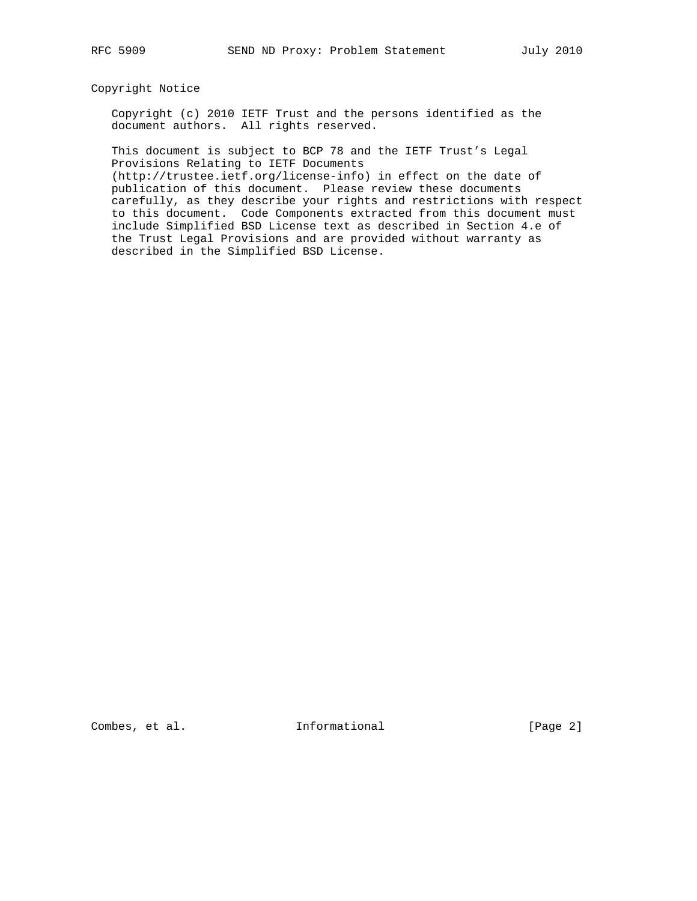# Copyright Notice

 Copyright (c) 2010 IETF Trust and the persons identified as the document authors. All rights reserved.

 This document is subject to BCP 78 and the IETF Trust's Legal Provisions Relating to IETF Documents

 (http://trustee.ietf.org/license-info) in effect on the date of publication of this document. Please review these documents carefully, as they describe your rights and restrictions with respect to this document. Code Components extracted from this document must include Simplified BSD License text as described in Section 4.e of the Trust Legal Provisions and are provided without warranty as described in the Simplified BSD License.

Combes, et al. 1nformational [Page 2]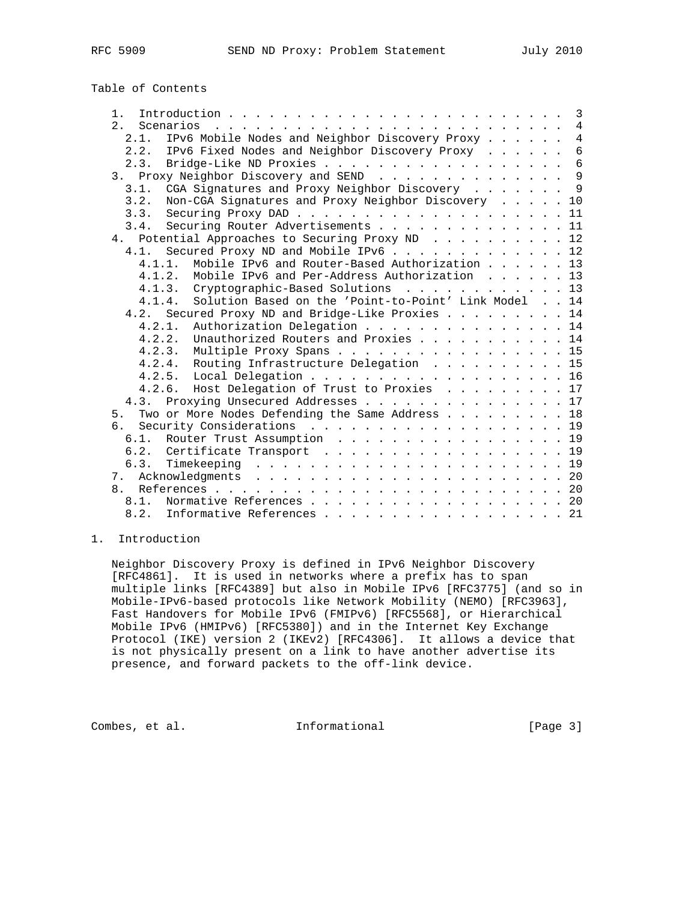# Table of Contents

| $1 \cdot$                                                                                                                                                                                                                                               |  | $\overline{3}$ |
|---------------------------------------------------------------------------------------------------------------------------------------------------------------------------------------------------------------------------------------------------------|--|----------------|
| 2.1<br>Scenarios<br>$\mathcal{L}^{(1)}$ . The set of the set of the set of the set of the set of the set of the set of the set of the set of the set of the set of the set of the set of the set of the set of the set of the set of the set of the set |  | $\overline{4}$ |
| IPv6 Mobile Nodes and Neighbor Discovery Proxy<br>2.1.                                                                                                                                                                                                  |  | $\overline{4}$ |
| 2.2. IPv6 Fixed Nodes and Neighbor Discovery Proxy                                                                                                                                                                                                      |  | $\overline{6}$ |
| 2.3. Bridge-Like ND Proxies                                                                                                                                                                                                                             |  | 6              |
| 3. Proxy Neighbor Discovery and SEND 9                                                                                                                                                                                                                  |  |                |
| CGA Signatures and Proxy Neighbor Discovery 9<br>3.1.                                                                                                                                                                                                   |  |                |
| 3.2.<br>Non-CGA Signatures and Proxy Neighbor Discovery 10                                                                                                                                                                                              |  |                |
| 3.3.                                                                                                                                                                                                                                                    |  |                |
| Securing Router Advertisements 11<br>3.4.                                                                                                                                                                                                               |  |                |
| 4. Potential Approaches to Securing Proxy ND 12                                                                                                                                                                                                         |  |                |
| Secured Proxy ND and Mobile IPv6 12<br>4.1.                                                                                                                                                                                                             |  |                |
| Mobile IPv6 and Router-Based Authorization 13<br>$4.1.1$ .                                                                                                                                                                                              |  |                |
| 4.1.2.<br>Mobile IPv6 and Per-Address Authorization 13                                                                                                                                                                                                  |  |                |
| 4.1.3. Cryptographic-Based Solutions 13                                                                                                                                                                                                                 |  |                |
| Solution Based on the 'Point-to-Point' Link Model 14<br>4.1.4.                                                                                                                                                                                          |  |                |
| 4.2. Secured Proxy ND and Bridge-Like Proxies 14                                                                                                                                                                                                        |  |                |
| 4.2.1.<br>Authorization Delegation 14                                                                                                                                                                                                                   |  |                |
| 4.2.2. Unauthorized Routers and Proxies 14                                                                                                                                                                                                              |  |                |
| 4.2.3. Multiple Proxy Spans 15                                                                                                                                                                                                                          |  |                |
| 4.2.4. Routing Infrastructure Delegation 15                                                                                                                                                                                                             |  |                |
| 4.2.5. Local Delegation 16                                                                                                                                                                                                                              |  |                |
| 4.2.6. Host Delegation of Trust to Proxies 17                                                                                                                                                                                                           |  |                |
| 4.3. Proxying Unsecured Addresses 17                                                                                                                                                                                                                    |  |                |
| Two or More Nodes Defending the Same Address 18<br>5.                                                                                                                                                                                                   |  |                |
| Security Considerations 19<br>б.                                                                                                                                                                                                                        |  |                |
| 6.1. Router Trust Assumption 19                                                                                                                                                                                                                         |  |                |
| 6.2. Certificate Transport 19                                                                                                                                                                                                                           |  |                |
| 6.3.                                                                                                                                                                                                                                                    |  |                |
|                                                                                                                                                                                                                                                         |  |                |
|                                                                                                                                                                                                                                                         |  |                |
| 8.1. Normative References 20                                                                                                                                                                                                                            |  |                |
| 8.2. Informative References 21                                                                                                                                                                                                                          |  |                |
|                                                                                                                                                                                                                                                         |  |                |

# 1. Introduction

 Neighbor Discovery Proxy is defined in IPv6 Neighbor Discovery [RFC4861]. It is used in networks where a prefix has to span multiple links [RFC4389] but also in Mobile IPv6 [RFC3775] (and so in Mobile-IPv6-based protocols like Network Mobility (NEMO) [RFC3963], Fast Handovers for Mobile IPv6 (FMIPv6) [RFC5568], or Hierarchical Mobile IPv6 (HMIPv6) [RFC5380]) and in the Internet Key Exchange Protocol (IKE) version 2 (IKEv2) [RFC4306]. It allows a device that is not physically present on a link to have another advertise its presence, and forward packets to the off-link device.

Combes, et al. 1nformational [Page 3]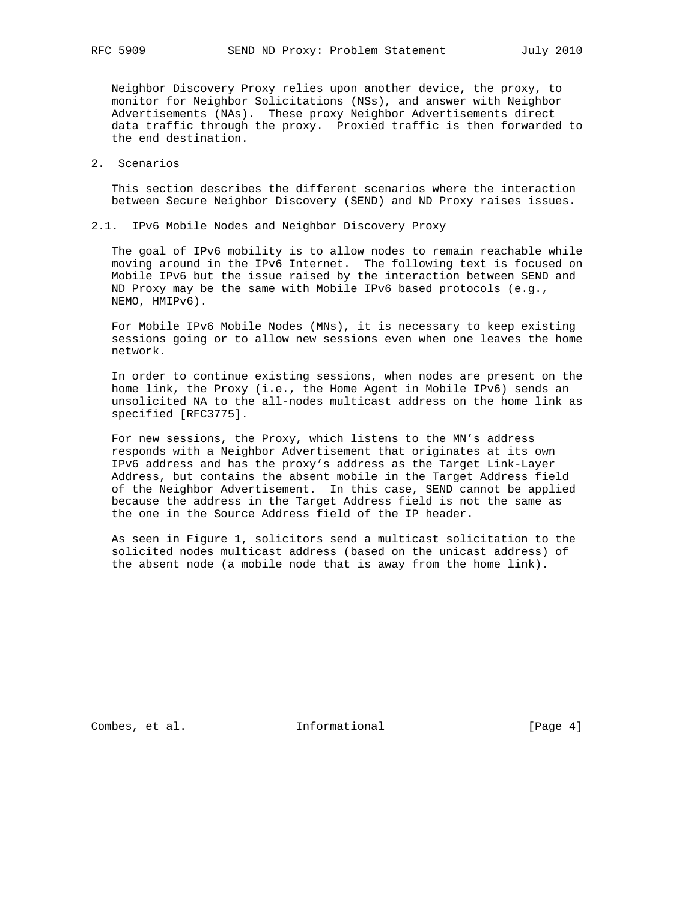Neighbor Discovery Proxy relies upon another device, the proxy, to monitor for Neighbor Solicitations (NSs), and answer with Neighbor Advertisements (NAs). These proxy Neighbor Advertisements direct data traffic through the proxy. Proxied traffic is then forwarded to the end destination.

# 2. Scenarios

 This section describes the different scenarios where the interaction between Secure Neighbor Discovery (SEND) and ND Proxy raises issues.

# 2.1. IPv6 Mobile Nodes and Neighbor Discovery Proxy

 The goal of IPv6 mobility is to allow nodes to remain reachable while moving around in the IPv6 Internet. The following text is focused on Mobile IPv6 but the issue raised by the interaction between SEND and ND Proxy may be the same with Mobile IPv6 based protocols (e.g., NEMO, HMIPv6).

 For Mobile IPv6 Mobile Nodes (MNs), it is necessary to keep existing sessions going or to allow new sessions even when one leaves the home network.

 In order to continue existing sessions, when nodes are present on the home link, the Proxy (i.e., the Home Agent in Mobile IPv6) sends an unsolicited NA to the all-nodes multicast address on the home link as specified [RFC3775].

 For new sessions, the Proxy, which listens to the MN's address responds with a Neighbor Advertisement that originates at its own IPv6 address and has the proxy's address as the Target Link-Layer Address, but contains the absent mobile in the Target Address field of the Neighbor Advertisement. In this case, SEND cannot be applied because the address in the Target Address field is not the same as the one in the Source Address field of the IP header.

 As seen in Figure 1, solicitors send a multicast solicitation to the solicited nodes multicast address (based on the unicast address) of the absent node (a mobile node that is away from the home link).

Combes, et al. 1nformational [Page 4]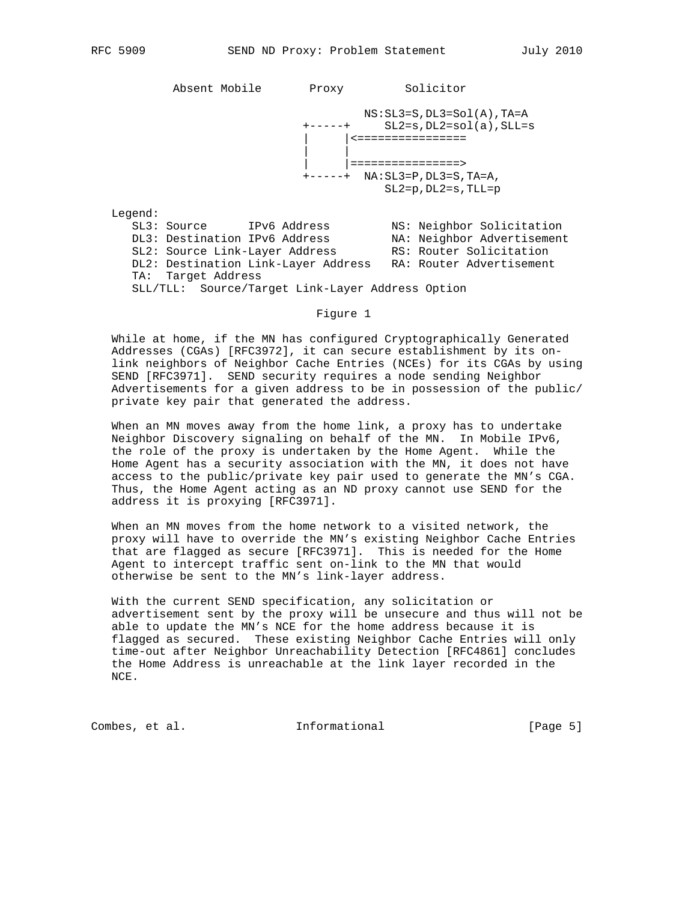Absent Mobile Proxy Solicitor

 $NS: SL3=S$ ,  $DL3=SOL(A)$ ,  $TA=A$  +-----+ SL2=s,DL2=sol(a),SLL=s | <================ | | | |================> +-----+ NA:SL3=P,DL3=S,TA=A, SL2=p,DL2=s,TLL=p

Legend:

| SL3: Source                                      | IPv6 Address |  | NS: Neighbor Solicitation  |
|--------------------------------------------------|--------------|--|----------------------------|
| DL3: Destination IPv6 Address                    |              |  | NA: Neighbor Advertisement |
| SL2: Source Link-Layer Address                   |              |  | RS: Router Solicitation    |
| DL2: Destination Link-Layer Address              |              |  | RA: Router Advertisement   |
| TA: Target Address                               |              |  |                            |
| SLL/TLL: Source/Target Link-Layer Address Option |              |  |                            |

#### Figure 1

 While at home, if the MN has configured Cryptographically Generated Addresses (CGAs) [RFC3972], it can secure establishment by its on link neighbors of Neighbor Cache Entries (NCEs) for its CGAs by using SEND [RFC3971]. SEND security requires a node sending Neighbor Advertisements for a given address to be in possession of the public/ private key pair that generated the address.

 When an MN moves away from the home link, a proxy has to undertake Neighbor Discovery signaling on behalf of the MN. In Mobile IPv6, the role of the proxy is undertaken by the Home Agent. While the Home Agent has a security association with the MN, it does not have access to the public/private key pair used to generate the MN's CGA. Thus, the Home Agent acting as an ND proxy cannot use SEND for the address it is proxying [RFC3971].

 When an MN moves from the home network to a visited network, the proxy will have to override the MN's existing Neighbor Cache Entries that are flagged as secure [RFC3971]. This is needed for the Home Agent to intercept traffic sent on-link to the MN that would otherwise be sent to the MN's link-layer address.

 With the current SEND specification, any solicitation or advertisement sent by the proxy will be unsecure and thus will not be able to update the MN's NCE for the home address because it is flagged as secured. These existing Neighbor Cache Entries will only time-out after Neighbor Unreachability Detection [RFC4861] concludes the Home Address is unreachable at the link layer recorded in the NCE.

Combes, et al. 1nformational [Page 5]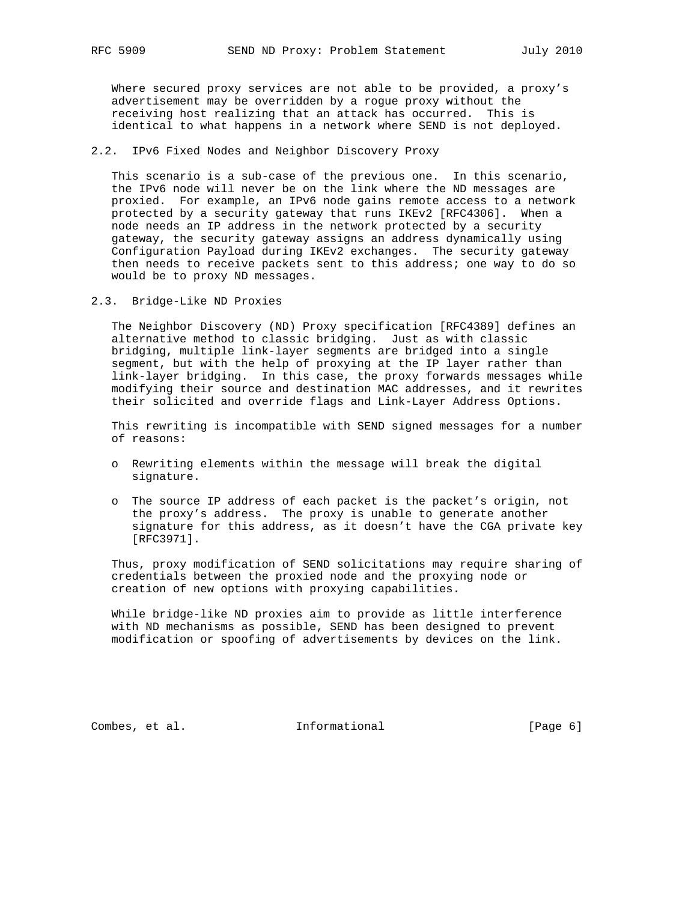Where secured proxy services are not able to be provided, a proxy's advertisement may be overridden by a rogue proxy without the receiving host realizing that an attack has occurred. This is identical to what happens in a network where SEND is not deployed.

# 2.2. IPv6 Fixed Nodes and Neighbor Discovery Proxy

 This scenario is a sub-case of the previous one. In this scenario, the IPv6 node will never be on the link where the ND messages are proxied. For example, an IPv6 node gains remote access to a network protected by a security gateway that runs IKEv2 [RFC4306]. When a node needs an IP address in the network protected by a security gateway, the security gateway assigns an address dynamically using Configuration Payload during IKEv2 exchanges. The security gateway then needs to receive packets sent to this address; one way to do so would be to proxy ND messages.

2.3. Bridge-Like ND Proxies

 The Neighbor Discovery (ND) Proxy specification [RFC4389] defines an alternative method to classic bridging. Just as with classic bridging, multiple link-layer segments are bridged into a single segment, but with the help of proxying at the IP layer rather than link-layer bridging. In this case, the proxy forwards messages while modifying their source and destination MAC addresses, and it rewrites their solicited and override flags and Link-Layer Address Options.

 This rewriting is incompatible with SEND signed messages for a number of reasons:

- o Rewriting elements within the message will break the digital signature.
- o The source IP address of each packet is the packet's origin, not the proxy's address. The proxy is unable to generate another signature for this address, as it doesn't have the CGA private key [RFC3971].

 Thus, proxy modification of SEND solicitations may require sharing of credentials between the proxied node and the proxying node or creation of new options with proxying capabilities.

 While bridge-like ND proxies aim to provide as little interference with ND mechanisms as possible, SEND has been designed to prevent modification or spoofing of advertisements by devices on the link.

Combes, et al. 1nformational [Page 6]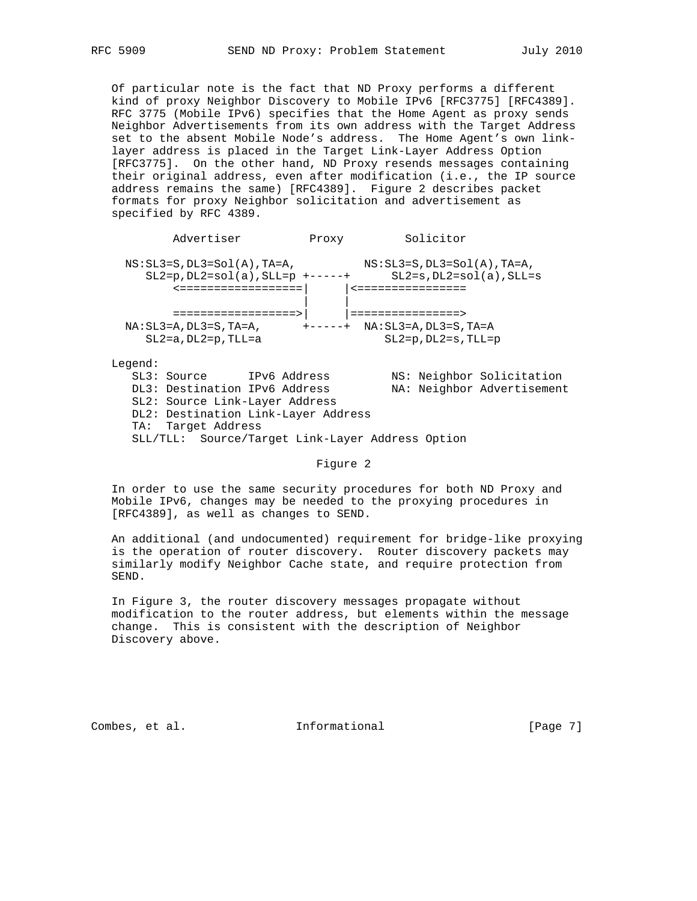Of particular note is the fact that ND Proxy performs a different kind of proxy Neighbor Discovery to Mobile IPv6 [RFC3775] [RFC4389]. RFC 3775 (Mobile IPv6) specifies that the Home Agent as proxy sends Neighbor Advertisements from its own address with the Target Address set to the absent Mobile Node's address. The Home Agent's own link layer address is placed in the Target Link-Layer Address Option [RFC3775]. On the other hand, ND Proxy resends messages containing their original address, even after modification (i.e., the IP source address remains the same) [RFC4389]. Figure 2 describes packet formats for proxy Neighbor solicitation and advertisement as specified by RFC 4389.

Advertiser Proxy Solicitor  $\verb!NS:SL3=S, DL3=Sol(A),TA=A, \qquad \qquad \verb!NS:SL3=S, DL3=Sol(A),TA=A,$  $\texttt{SL2=p,DL2=sol(a)}$  ,  $\texttt{SLL=p}$  +-----+  $\texttt{SL2=s,DL2=sol(a)}$  ,  $\texttt{SLL=s}$  <==================| |<================ | | ==================>| |================>  $\verb|NA:SL3=A,DL3=S,TA=A, \verb|++---+, NA:SL3=A,DL3=S,TA=A$  SL2=a,DL2=p,TLL=a SL2=p,DL2=s,TLL=p Legend: SL3: Source 1Pv6 Address MS: Neighbor Solicitation DL3: Destination IPv6 Address NA: Neighbor Advertisement SL2: Source Link-Layer Address DL2: Destination Link-Layer Address TA: Target Address

SLL/TLL: Source/Target Link-Layer Address Option

#### Figure 2

 In order to use the same security procedures for both ND Proxy and Mobile IPv6, changes may be needed to the proxying procedures in [RFC4389], as well as changes to SEND.

 An additional (and undocumented) requirement for bridge-like proxying is the operation of router discovery. Router discovery packets may similarly modify Neighbor Cache state, and require protection from SEND.

 In Figure 3, the router discovery messages propagate without modification to the router address, but elements within the message change. This is consistent with the description of Neighbor Discovery above.

Combes, et al. 1nformational [Page 7]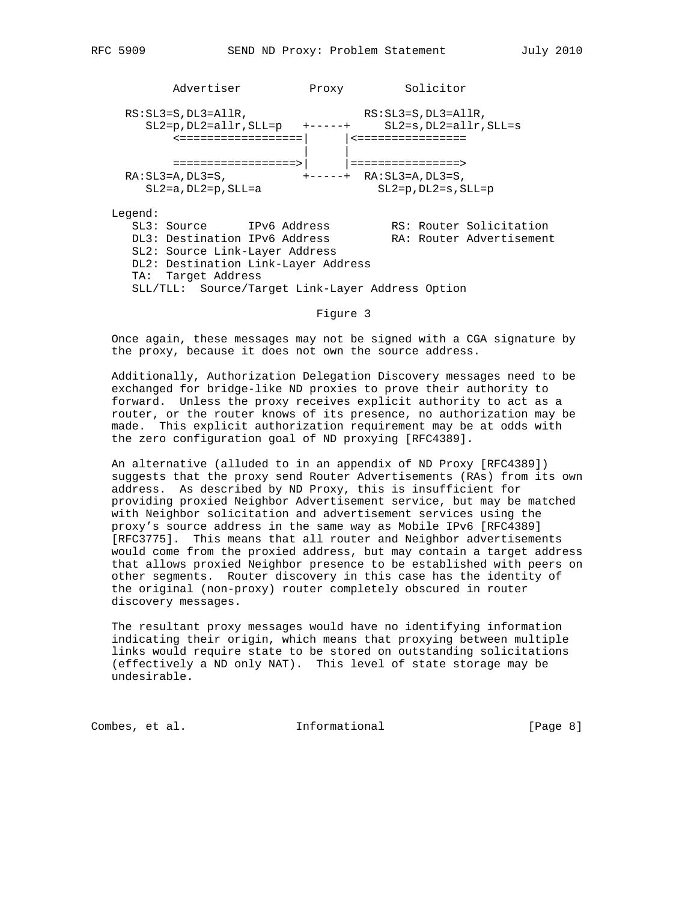Advertiser Proxy Solicitor RS: SL3=S, DL3=AllR, RS: SL3=S, DL3=AllR, SL2=p,DL2=allr,SLL=p +-----+ SL2=s,DL2=allr,SLL=s <==================| |<================ | | ==================>| |================> RA:SL3=A,DL3=S, +-----+ RA:SL3=A,DL3=S, SL2=a,DL2=p,SLL=a SL2=p,DL2=s,SLL=p Legend: SL3: Source 1Pv6 Address RS: Router Solicitation DL3: Destination IPv6 Address RA: Router Advertisement SL2: Source Link-Layer Address DL2: Destination Link-Layer Address TA: Target Address SLL/TLL: Source/Target Link-Layer Address Option

#### Figure 3

 Once again, these messages may not be signed with a CGA signature by the proxy, because it does not own the source address.

 Additionally, Authorization Delegation Discovery messages need to be exchanged for bridge-like ND proxies to prove their authority to forward. Unless the proxy receives explicit authority to act as a router, or the router knows of its presence, no authorization may be made. This explicit authorization requirement may be at odds with the zero configuration goal of ND proxying [RFC4389].

 An alternative (alluded to in an appendix of ND Proxy [RFC4389]) suggests that the proxy send Router Advertisements (RAs) from its own address. As described by ND Proxy, this is insufficient for providing proxied Neighbor Advertisement service, but may be matched with Neighbor solicitation and advertisement services using the proxy's source address in the same way as Mobile IPv6 [RFC4389] [RFC3775]. This means that all router and Neighbor advertisements would come from the proxied address, but may contain a target address that allows proxied Neighbor presence to be established with peers on other segments. Router discovery in this case has the identity of the original (non-proxy) router completely obscured in router discovery messages.

 The resultant proxy messages would have no identifying information indicating their origin, which means that proxying between multiple links would require state to be stored on outstanding solicitations (effectively a ND only NAT). This level of state storage may be undesirable.

Combes, et al. 1nformational [Page 8]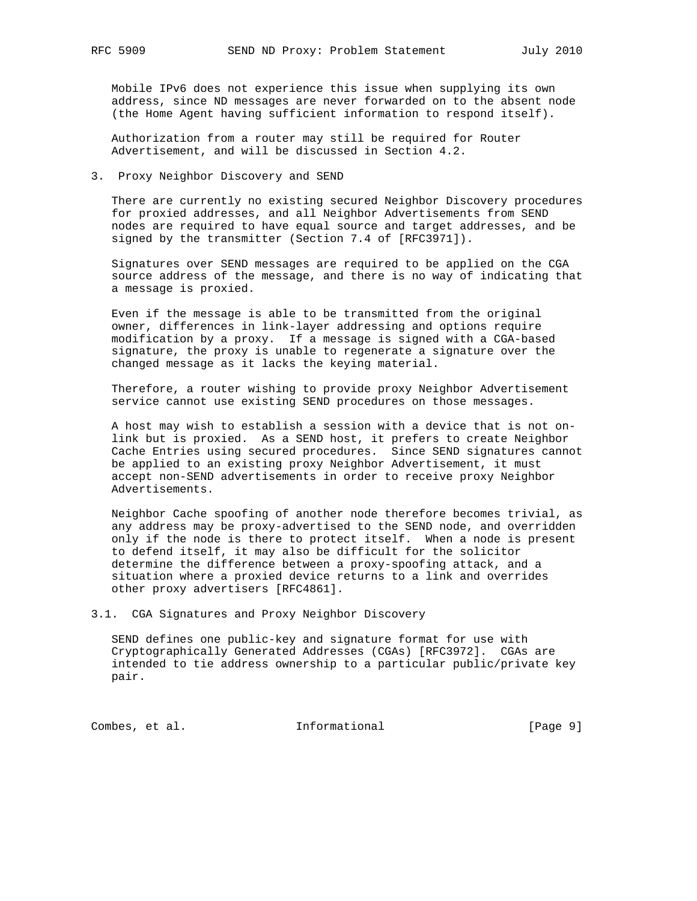Mobile IPv6 does not experience this issue when supplying its own address, since ND messages are never forwarded on to the absent node (the Home Agent having sufficient information to respond itself).

 Authorization from a router may still be required for Router Advertisement, and will be discussed in Section 4.2.

3. Proxy Neighbor Discovery and SEND

 There are currently no existing secured Neighbor Discovery procedures for proxied addresses, and all Neighbor Advertisements from SEND nodes are required to have equal source and target addresses, and be signed by the transmitter (Section 7.4 of [RFC3971]).

 Signatures over SEND messages are required to be applied on the CGA source address of the message, and there is no way of indicating that a message is proxied.

 Even if the message is able to be transmitted from the original owner, differences in link-layer addressing and options require modification by a proxy. If a message is signed with a CGA-based signature, the proxy is unable to regenerate a signature over the changed message as it lacks the keying material.

 Therefore, a router wishing to provide proxy Neighbor Advertisement service cannot use existing SEND procedures on those messages.

 A host may wish to establish a session with a device that is not on link but is proxied. As a SEND host, it prefers to create Neighbor Cache Entries using secured procedures. Since SEND signatures cannot be applied to an existing proxy Neighbor Advertisement, it must accept non-SEND advertisements in order to receive proxy Neighbor Advertisements.

 Neighbor Cache spoofing of another node therefore becomes trivial, as any address may be proxy-advertised to the SEND node, and overridden only if the node is there to protect itself. When a node is present to defend itself, it may also be difficult for the solicitor determine the difference between a proxy-spoofing attack, and a situation where a proxied device returns to a link and overrides other proxy advertisers [RFC4861].

3.1. CGA Signatures and Proxy Neighbor Discovery

 SEND defines one public-key and signature format for use with Cryptographically Generated Addresses (CGAs) [RFC3972]. CGAs are intended to tie address ownership to a particular public/private key pair.

Combes, et al. 1nformational [Page 9]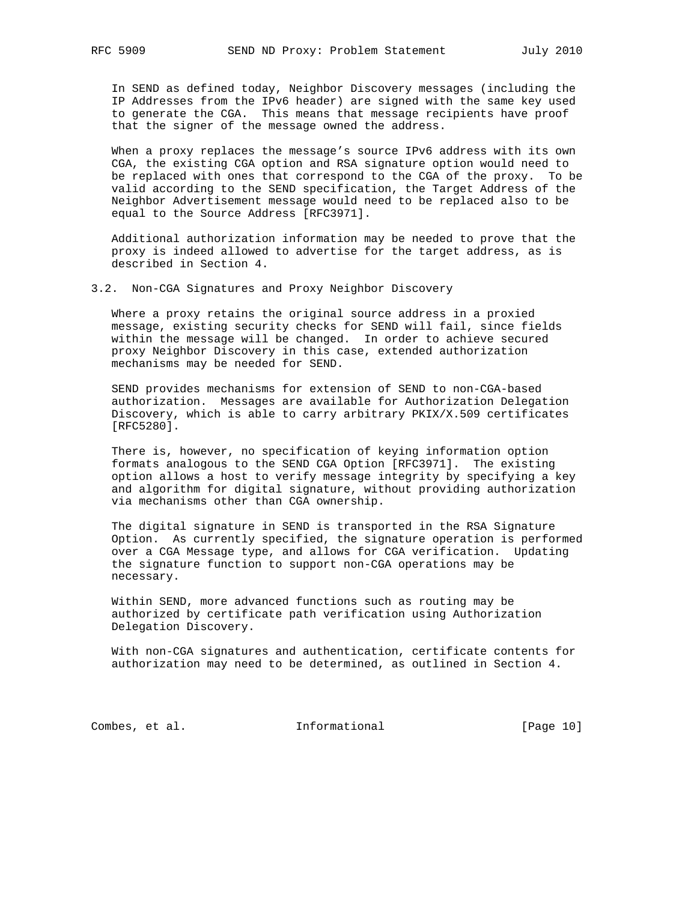In SEND as defined today, Neighbor Discovery messages (including the IP Addresses from the IPv6 header) are signed with the same key used to generate the CGA. This means that message recipients have proof that the signer of the message owned the address.

 When a proxy replaces the message's source IPv6 address with its own CGA, the existing CGA option and RSA signature option would need to be replaced with ones that correspond to the CGA of the proxy. To be valid according to the SEND specification, the Target Address of the Neighbor Advertisement message would need to be replaced also to be equal to the Source Address [RFC3971].

 Additional authorization information may be needed to prove that the proxy is indeed allowed to advertise for the target address, as is described in Section 4.

3.2. Non-CGA Signatures and Proxy Neighbor Discovery

 Where a proxy retains the original source address in a proxied message, existing security checks for SEND will fail, since fields within the message will be changed. In order to achieve secured proxy Neighbor Discovery in this case, extended authorization mechanisms may be needed for SEND.

 SEND provides mechanisms for extension of SEND to non-CGA-based authorization. Messages are available for Authorization Delegation Discovery, which is able to carry arbitrary PKIX/X.509 certificates [RFC5280].

 There is, however, no specification of keying information option formats analogous to the SEND CGA Option [RFC3971]. The existing option allows a host to verify message integrity by specifying a key and algorithm for digital signature, without providing authorization via mechanisms other than CGA ownership.

 The digital signature in SEND is transported in the RSA Signature Option. As currently specified, the signature operation is performed over a CGA Message type, and allows for CGA verification. Updating the signature function to support non-CGA operations may be necessary.

 Within SEND, more advanced functions such as routing may be authorized by certificate path verification using Authorization Delegation Discovery.

 With non-CGA signatures and authentication, certificate contents for authorization may need to be determined, as outlined in Section 4.

Combes, et al. 1nformational [Page 10]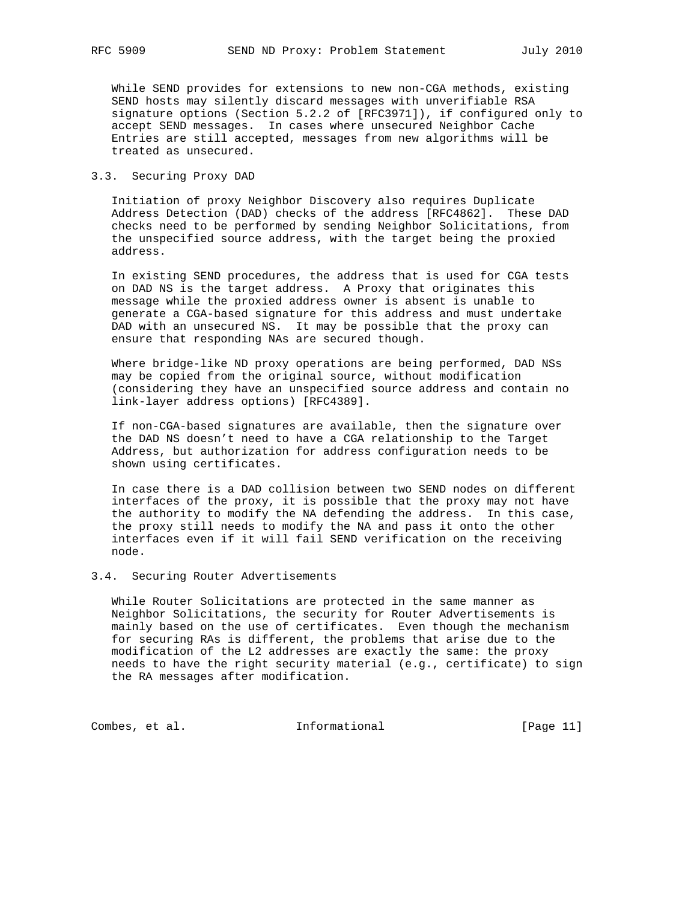While SEND provides for extensions to new non-CGA methods, existing SEND hosts may silently discard messages with unverifiable RSA signature options (Section 5.2.2 of [RFC3971]), if configured only to accept SEND messages. In cases where unsecured Neighbor Cache Entries are still accepted, messages from new algorithms will be treated as unsecured.

# 3.3. Securing Proxy DAD

 Initiation of proxy Neighbor Discovery also requires Duplicate Address Detection (DAD) checks of the address [RFC4862]. These DAD checks need to be performed by sending Neighbor Solicitations, from the unspecified source address, with the target being the proxied address.

 In existing SEND procedures, the address that is used for CGA tests on DAD NS is the target address. A Proxy that originates this message while the proxied address owner is absent is unable to generate a CGA-based signature for this address and must undertake DAD with an unsecured NS. It may be possible that the proxy can ensure that responding NAs are secured though.

 Where bridge-like ND proxy operations are being performed, DAD NSs may be copied from the original source, without modification (considering they have an unspecified source address and contain no link-layer address options) [RFC4389].

 If non-CGA-based signatures are available, then the signature over the DAD NS doesn't need to have a CGA relationship to the Target Address, but authorization for address configuration needs to be shown using certificates.

 In case there is a DAD collision between two SEND nodes on different interfaces of the proxy, it is possible that the proxy may not have the authority to modify the NA defending the address. In this case, the proxy still needs to modify the NA and pass it onto the other interfaces even if it will fail SEND verification on the receiving node.

# 3.4. Securing Router Advertisements

 While Router Solicitations are protected in the same manner as Neighbor Solicitations, the security for Router Advertisements is mainly based on the use of certificates. Even though the mechanism for securing RAs is different, the problems that arise due to the modification of the L2 addresses are exactly the same: the proxy needs to have the right security material (e.g., certificate) to sign the RA messages after modification.

Combes, et al. 1nformational [Page 11]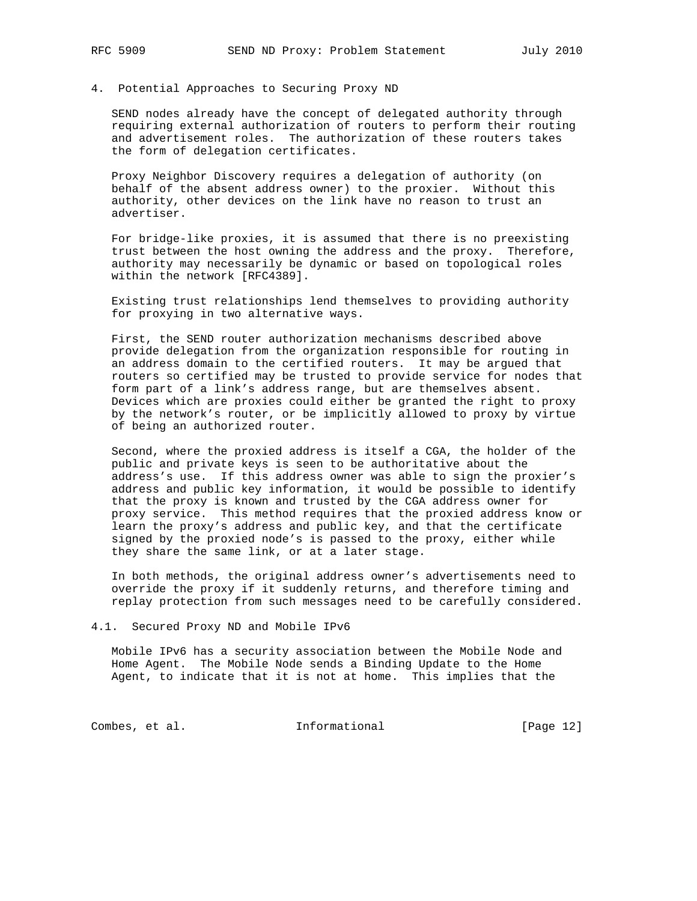#### 4. Potential Approaches to Securing Proxy ND

 SEND nodes already have the concept of delegated authority through requiring external authorization of routers to perform their routing and advertisement roles. The authorization of these routers takes the form of delegation certificates.

 Proxy Neighbor Discovery requires a delegation of authority (on behalf of the absent address owner) to the proxier. Without this authority, other devices on the link have no reason to trust an advertiser.

 For bridge-like proxies, it is assumed that there is no preexisting trust between the host owning the address and the proxy. Therefore, authority may necessarily be dynamic or based on topological roles within the network [RFC4389].

 Existing trust relationships lend themselves to providing authority for proxying in two alternative ways.

 First, the SEND router authorization mechanisms described above provide delegation from the organization responsible for routing in an address domain to the certified routers. It may be argued that routers so certified may be trusted to provide service for nodes that form part of a link's address range, but are themselves absent. Devices which are proxies could either be granted the right to proxy by the network's router, or be implicitly allowed to proxy by virtue of being an authorized router.

 Second, where the proxied address is itself a CGA, the holder of the public and private keys is seen to be authoritative about the address's use. If this address owner was able to sign the proxier's address and public key information, it would be possible to identify that the proxy is known and trusted by the CGA address owner for proxy service. This method requires that the proxied address know or learn the proxy's address and public key, and that the certificate signed by the proxied node's is passed to the proxy, either while they share the same link, or at a later stage.

 In both methods, the original address owner's advertisements need to override the proxy if it suddenly returns, and therefore timing and replay protection from such messages need to be carefully considered.

4.1. Secured Proxy ND and Mobile IPv6

 Mobile IPv6 has a security association between the Mobile Node and Home Agent. The Mobile Node sends a Binding Update to the Home Agent, to indicate that it is not at home. This implies that the

Combes, et al. 1nformational [Page 12]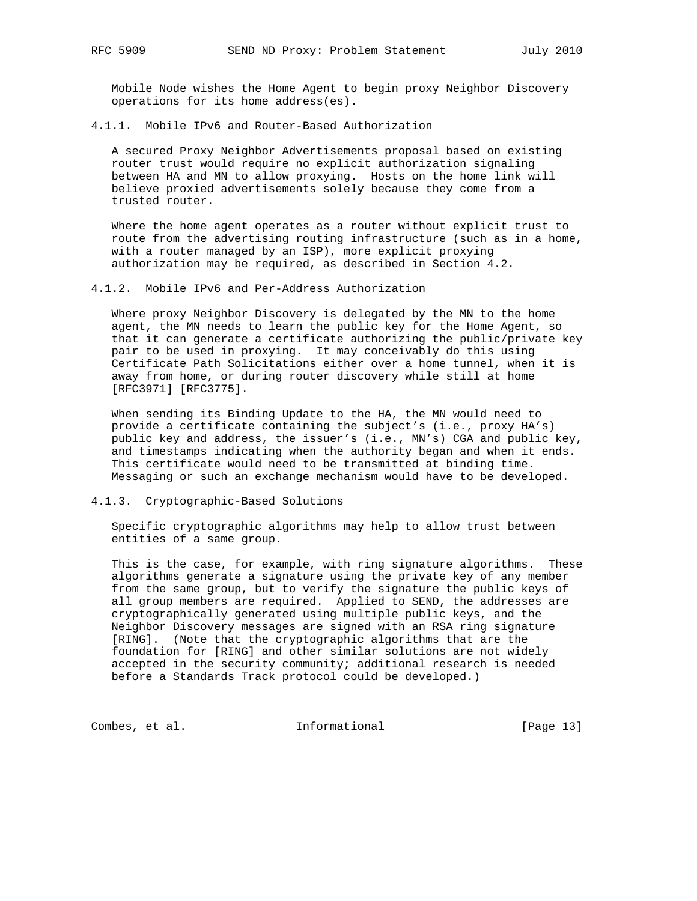Mobile Node wishes the Home Agent to begin proxy Neighbor Discovery operations for its home address(es).

4.1.1. Mobile IPv6 and Router-Based Authorization

 A secured Proxy Neighbor Advertisements proposal based on existing router trust would require no explicit authorization signaling between HA and MN to allow proxying. Hosts on the home link will believe proxied advertisements solely because they come from a trusted router.

 Where the home agent operates as a router without explicit trust to route from the advertising routing infrastructure (such as in a home, with a router managed by an ISP), more explicit proxying authorization may be required, as described in Section 4.2.

4.1.2. Mobile IPv6 and Per-Address Authorization

 Where proxy Neighbor Discovery is delegated by the MN to the home agent, the MN needs to learn the public key for the Home Agent, so that it can generate a certificate authorizing the public/private key pair to be used in proxying. It may conceivably do this using Certificate Path Solicitations either over a home tunnel, when it is away from home, or during router discovery while still at home [RFC3971] [RFC3775].

 When sending its Binding Update to the HA, the MN would need to provide a certificate containing the subject's (i.e., proxy HA's) public key and address, the issuer's (i.e., MN's) CGA and public key, and timestamps indicating when the authority began and when it ends. This certificate would need to be transmitted at binding time. Messaging or such an exchange mechanism would have to be developed.

4.1.3. Cryptographic-Based Solutions

 Specific cryptographic algorithms may help to allow trust between entities of a same group.

 This is the case, for example, with ring signature algorithms. These algorithms generate a signature using the private key of any member from the same group, but to verify the signature the public keys of all group members are required. Applied to SEND, the addresses are cryptographically generated using multiple public keys, and the Neighbor Discovery messages are signed with an RSA ring signature [RING]. (Note that the cryptographic algorithms that are the foundation for [RING] and other similar solutions are not widely accepted in the security community; additional research is needed before a Standards Track protocol could be developed.)

Combes, et al. 1nformational [Page 13]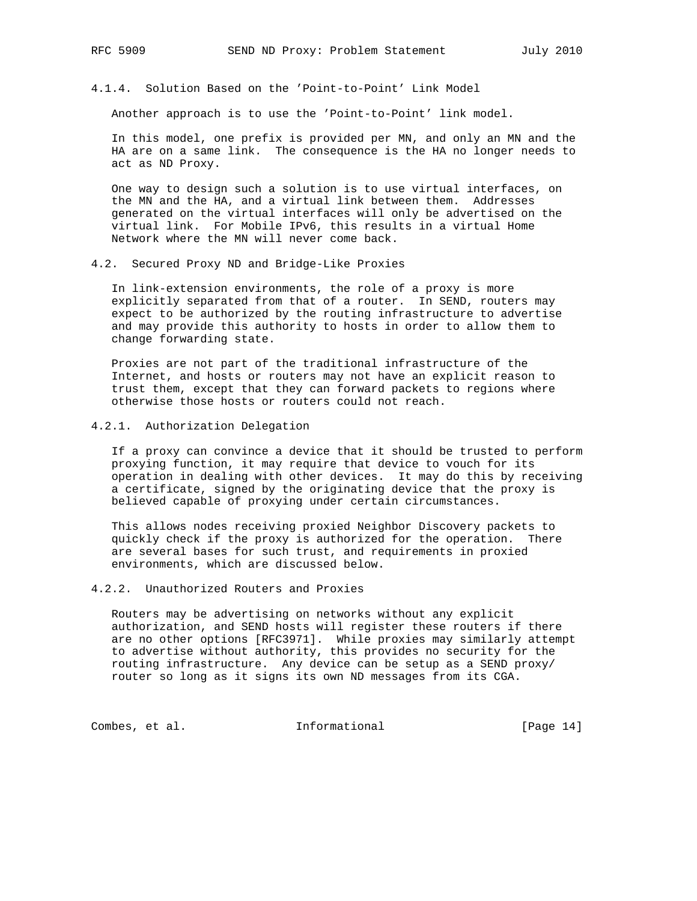4.1.4. Solution Based on the 'Point-to-Point' Link Model

Another approach is to use the 'Point-to-Point' link model.

 In this model, one prefix is provided per MN, and only an MN and the HA are on a same link. The consequence is the HA no longer needs to act as ND Proxy.

 One way to design such a solution is to use virtual interfaces, on the MN and the HA, and a virtual link between them. Addresses generated on the virtual interfaces will only be advertised on the virtual link. For Mobile IPv6, this results in a virtual Home Network where the MN will never come back.

4.2. Secured Proxy ND and Bridge-Like Proxies

 In link-extension environments, the role of a proxy is more explicitly separated from that of a router. In SEND, routers may expect to be authorized by the routing infrastructure to advertise and may provide this authority to hosts in order to allow them to change forwarding state.

 Proxies are not part of the traditional infrastructure of the Internet, and hosts or routers may not have an explicit reason to trust them, except that they can forward packets to regions where otherwise those hosts or routers could not reach.

4.2.1. Authorization Delegation

 If a proxy can convince a device that it should be trusted to perform proxying function, it may require that device to vouch for its operation in dealing with other devices. It may do this by receiving a certificate, signed by the originating device that the proxy is believed capable of proxying under certain circumstances.

 This allows nodes receiving proxied Neighbor Discovery packets to quickly check if the proxy is authorized for the operation. There are several bases for such trust, and requirements in proxied environments, which are discussed below.

#### 4.2.2. Unauthorized Routers and Proxies

 Routers may be advertising on networks without any explicit authorization, and SEND hosts will register these routers if there are no other options [RFC3971]. While proxies may similarly attempt to advertise without authority, this provides no security for the routing infrastructure. Any device can be setup as a SEND proxy/ router so long as it signs its own ND messages from its CGA.

Combes, et al. 1nformational [Page 14]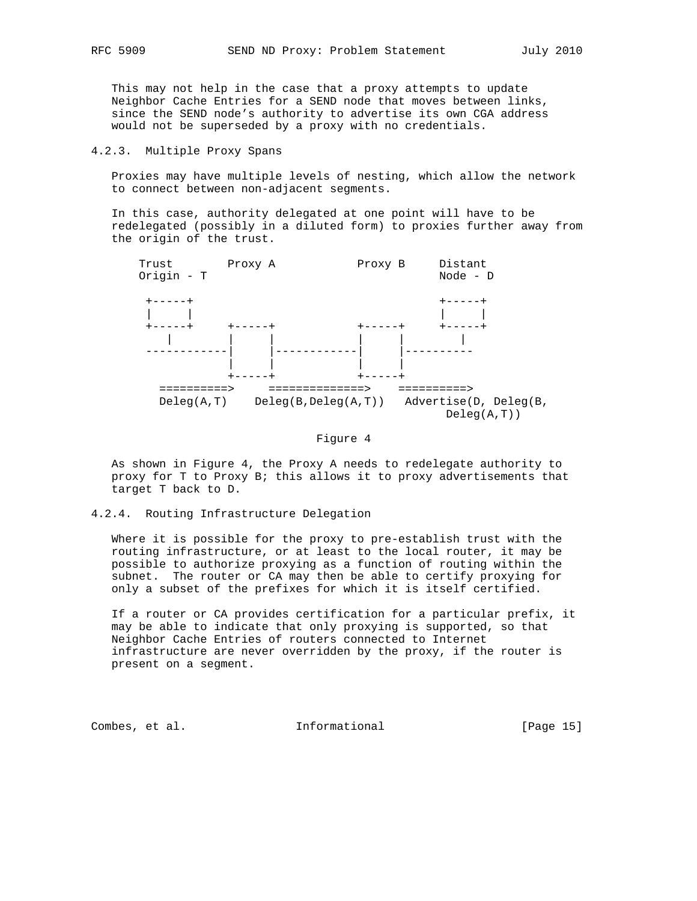This may not help in the case that a proxy attempts to update Neighbor Cache Entries for a SEND node that moves between links, since the SEND node's authority to advertise its own CGA address would not be superseded by a proxy with no credentials.

# 4.2.3. Multiple Proxy Spans

 Proxies may have multiple levels of nesting, which allow the network to connect between non-adjacent segments.

 In this case, authority delegated at one point will have to be redelegated (possibly in a diluted form) to proxies further away from the origin of the trust.



#### Figure 4

 As shown in Figure 4, the Proxy A needs to redelegate authority to proxy for T to Proxy B; this allows it to proxy advertisements that target T back to D.

4.2.4. Routing Infrastructure Delegation

 Where it is possible for the proxy to pre-establish trust with the routing infrastructure, or at least to the local router, it may be possible to authorize proxying as a function of routing within the subnet. The router or CA may then be able to certify proxying for only a subset of the prefixes for which it is itself certified.

 If a router or CA provides certification for a particular prefix, it may be able to indicate that only proxying is supported, so that Neighbor Cache Entries of routers connected to Internet infrastructure are never overridden by the proxy, if the router is present on a segment.

Combes, et al. 1nformational [Page 15]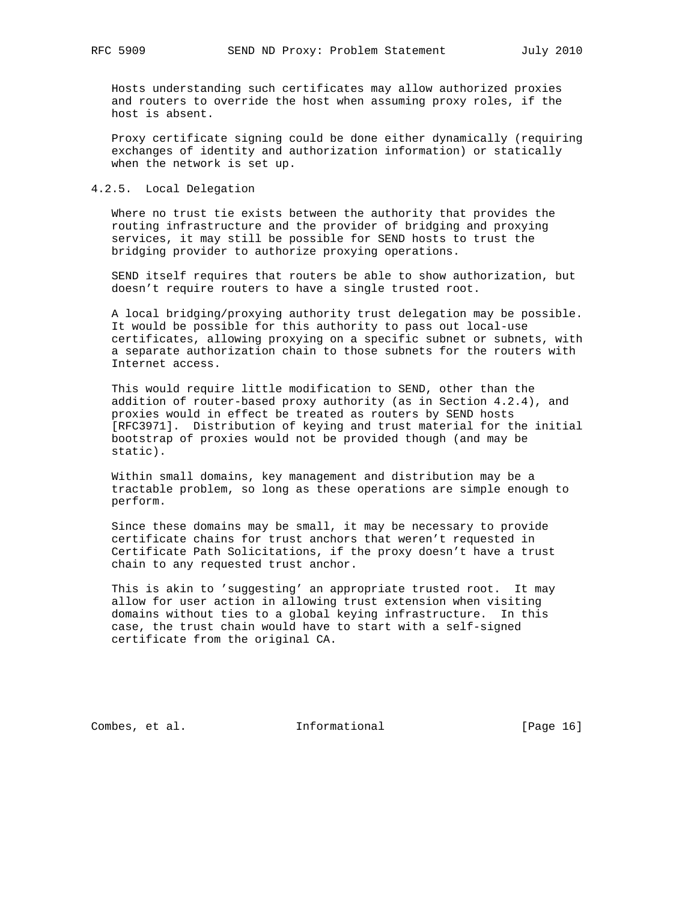Hosts understanding such certificates may allow authorized proxies and routers to override the host when assuming proxy roles, if the host is absent.

 Proxy certificate signing could be done either dynamically (requiring exchanges of identity and authorization information) or statically when the network is set up.

#### 4.2.5. Local Delegation

 Where no trust tie exists between the authority that provides the routing infrastructure and the provider of bridging and proxying services, it may still be possible for SEND hosts to trust the bridging provider to authorize proxying operations.

 SEND itself requires that routers be able to show authorization, but doesn't require routers to have a single trusted root.

 A local bridging/proxying authority trust delegation may be possible. It would be possible for this authority to pass out local-use certificates, allowing proxying on a specific subnet or subnets, with a separate authorization chain to those subnets for the routers with Internet access.

 This would require little modification to SEND, other than the addition of router-based proxy authority (as in Section 4.2.4), and proxies would in effect be treated as routers by SEND hosts [RFC3971]. Distribution of keying and trust material for the initial bootstrap of proxies would not be provided though (and may be static).

 Within small domains, key management and distribution may be a tractable problem, so long as these operations are simple enough to perform.

 Since these domains may be small, it may be necessary to provide certificate chains for trust anchors that weren't requested in Certificate Path Solicitations, if the proxy doesn't have a trust chain to any requested trust anchor.

 This is akin to 'suggesting' an appropriate trusted root. It may allow for user action in allowing trust extension when visiting domains without ties to a global keying infrastructure. In this case, the trust chain would have to start with a self-signed certificate from the original CA.

Combes, et al. 1nformational [Page 16]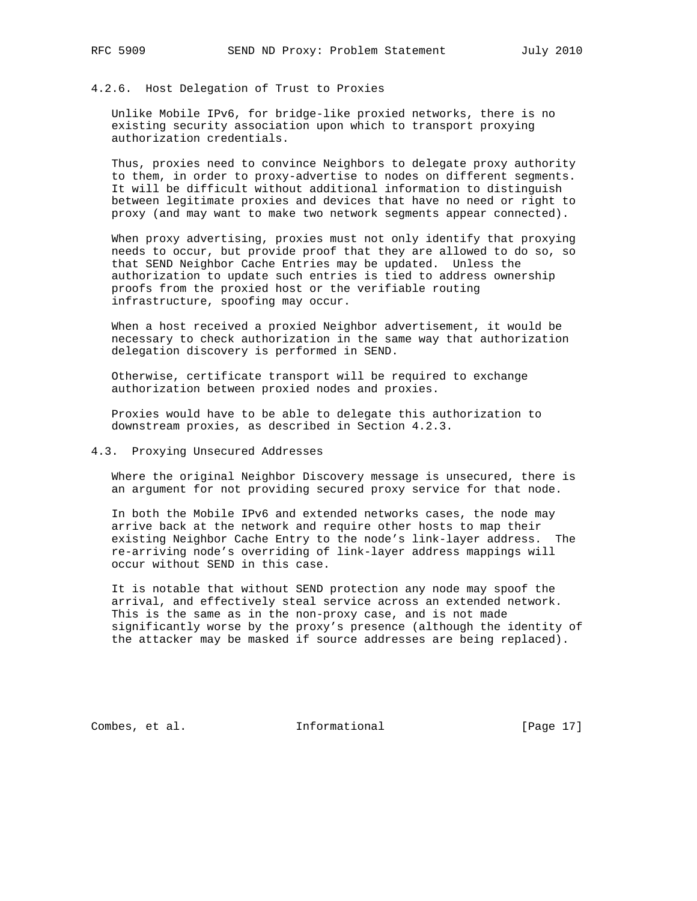# 4.2.6. Host Delegation of Trust to Proxies

 Unlike Mobile IPv6, for bridge-like proxied networks, there is no existing security association upon which to transport proxying authorization credentials.

 Thus, proxies need to convince Neighbors to delegate proxy authority to them, in order to proxy-advertise to nodes on different segments. It will be difficult without additional information to distinguish between legitimate proxies and devices that have no need or right to proxy (and may want to make two network segments appear connected).

 When proxy advertising, proxies must not only identify that proxying needs to occur, but provide proof that they are allowed to do so, so that SEND Neighbor Cache Entries may be updated. Unless the authorization to update such entries is tied to address ownership proofs from the proxied host or the verifiable routing infrastructure, spoofing may occur.

 When a host received a proxied Neighbor advertisement, it would be necessary to check authorization in the same way that authorization delegation discovery is performed in SEND.

 Otherwise, certificate transport will be required to exchange authorization between proxied nodes and proxies.

 Proxies would have to be able to delegate this authorization to downstream proxies, as described in Section 4.2.3.

# 4.3. Proxying Unsecured Addresses

 Where the original Neighbor Discovery message is unsecured, there is an argument for not providing secured proxy service for that node.

 In both the Mobile IPv6 and extended networks cases, the node may arrive back at the network and require other hosts to map their existing Neighbor Cache Entry to the node's link-layer address. The re-arriving node's overriding of link-layer address mappings will occur without SEND in this case.

 It is notable that without SEND protection any node may spoof the arrival, and effectively steal service across an extended network. This is the same as in the non-proxy case, and is not made significantly worse by the proxy's presence (although the identity of the attacker may be masked if source addresses are being replaced).

Combes, et al. 1nformational [Page 17]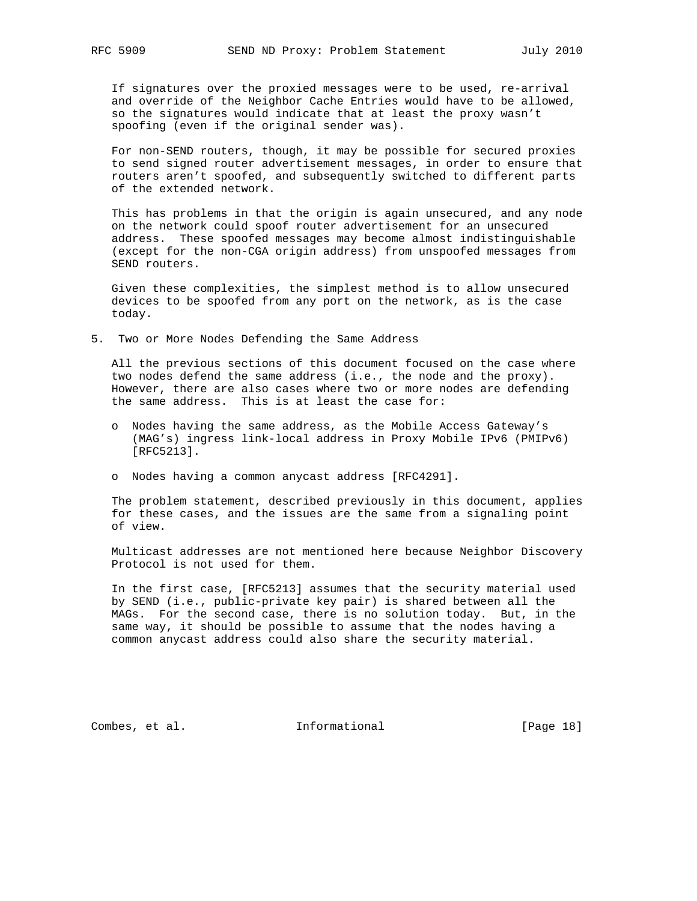If signatures over the proxied messages were to be used, re-arrival and override of the Neighbor Cache Entries would have to be allowed, so the signatures would indicate that at least the proxy wasn't spoofing (even if the original sender was).

 For non-SEND routers, though, it may be possible for secured proxies to send signed router advertisement messages, in order to ensure that routers aren't spoofed, and subsequently switched to different parts of the extended network.

 This has problems in that the origin is again unsecured, and any node on the network could spoof router advertisement for an unsecured address. These spoofed messages may become almost indistinguishable (except for the non-CGA origin address) from unspoofed messages from SEND routers.

 Given these complexities, the simplest method is to allow unsecured devices to be spoofed from any port on the network, as is the case today.

5. Two or More Nodes Defending the Same Address

 All the previous sections of this document focused on the case where two nodes defend the same address (i.e., the node and the proxy). However, there are also cases where two or more nodes are defending the same address. This is at least the case for:

- o Nodes having the same address, as the Mobile Access Gateway's (MAG's) ingress link-local address in Proxy Mobile IPv6 (PMIPv6) [RFC5213].
- o Nodes having a common anycast address [RFC4291].

 The problem statement, described previously in this document, applies for these cases, and the issues are the same from a signaling point of view.

 Multicast addresses are not mentioned here because Neighbor Discovery Protocol is not used for them.

 In the first case, [RFC5213] assumes that the security material used by SEND (i.e., public-private key pair) is shared between all the MAGs. For the second case, there is no solution today. But, in the same way, it should be possible to assume that the nodes having a common anycast address could also share the security material.

Combes, et al. 1nformational [Page 18]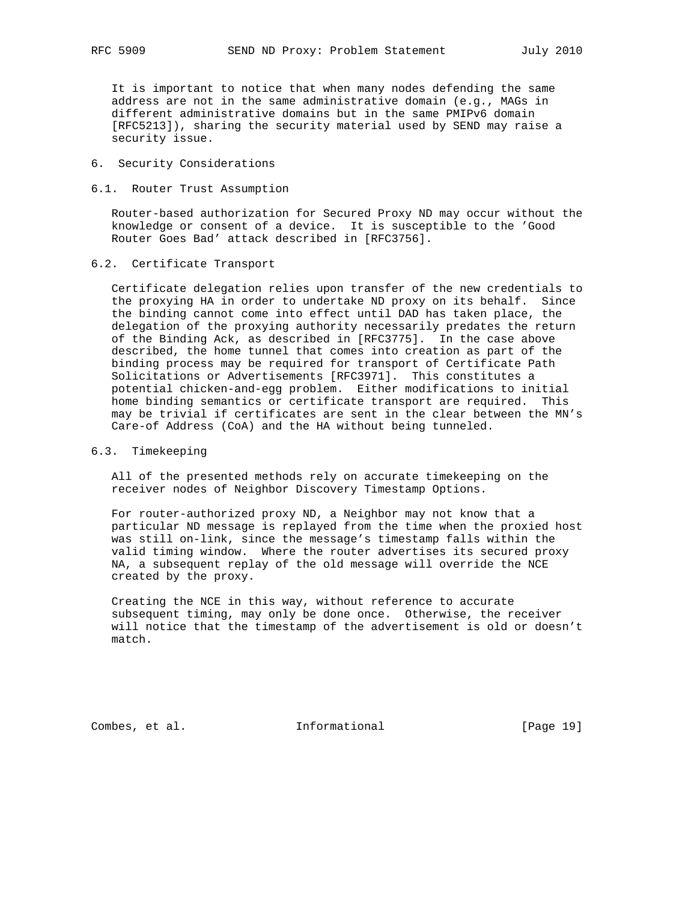It is important to notice that when many nodes defending the same address are not in the same administrative domain (e.g., MAGs in different administrative domains but in the same PMIPv6 domain [RFC5213]), sharing the security material used by SEND may raise a security issue.

# 6. Security Considerations

#### 6.1. Router Trust Assumption

 Router-based authorization for Secured Proxy ND may occur without the knowledge or consent of a device. It is susceptible to the 'Good Router Goes Bad' attack described in [RFC3756].

# 6.2. Certificate Transport

 Certificate delegation relies upon transfer of the new credentials to the proxying HA in order to undertake ND proxy on its behalf. Since the binding cannot come into effect until DAD has taken place, the delegation of the proxying authority necessarily predates the return of the Binding Ack, as described in [RFC3775]. In the case above described, the home tunnel that comes into creation as part of the binding process may be required for transport of Certificate Path Solicitations or Advertisements [RFC3971]. This constitutes a potential chicken-and-egg problem. Either modifications to initial home binding semantics or certificate transport are required. This may be trivial if certificates are sent in the clear between the MN's Care-of Address (CoA) and the HA without being tunneled.

# 6.3. Timekeeping

 All of the presented methods rely on accurate timekeeping on the receiver nodes of Neighbor Discovery Timestamp Options.

 For router-authorized proxy ND, a Neighbor may not know that a particular ND message is replayed from the time when the proxied host was still on-link, since the message's timestamp falls within the valid timing window. Where the router advertises its secured proxy NA, a subsequent replay of the old message will override the NCE created by the proxy.

 Creating the NCE in this way, without reference to accurate subsequent timing, may only be done once. Otherwise, the receiver will notice that the timestamp of the advertisement is old or doesn't match.

Combes, et al. 1nformational [Page 19]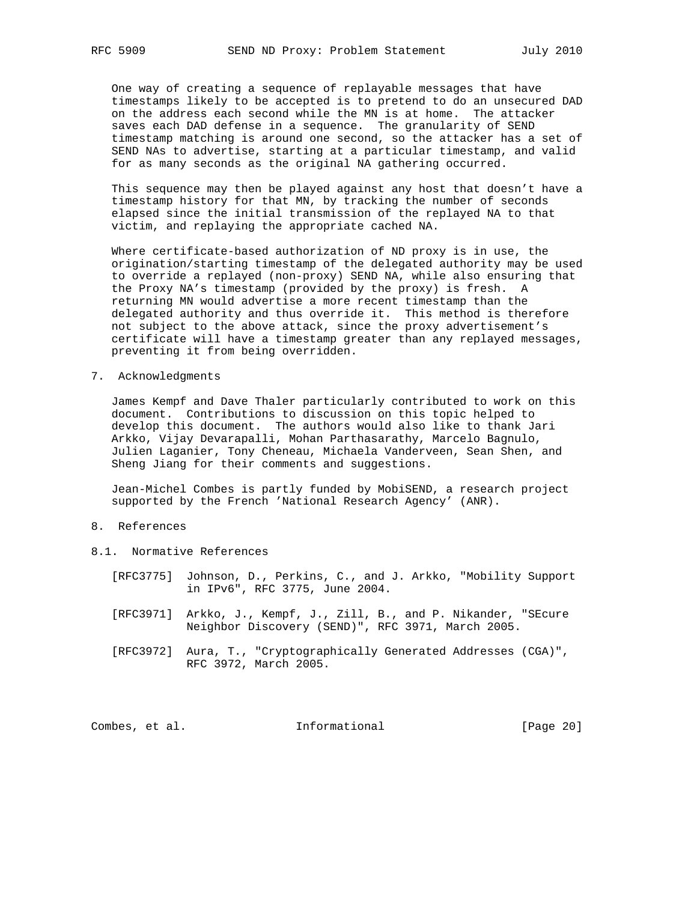One way of creating a sequence of replayable messages that have timestamps likely to be accepted is to pretend to do an unsecured DAD on the address each second while the MN is at home. The attacker saves each DAD defense in a sequence. The granularity of SEND timestamp matching is around one second, so the attacker has a set of SEND NAs to advertise, starting at a particular timestamp, and valid for as many seconds as the original NA gathering occurred.

 This sequence may then be played against any host that doesn't have a timestamp history for that MN, by tracking the number of seconds elapsed since the initial transmission of the replayed NA to that victim, and replaying the appropriate cached NA.

 Where certificate-based authorization of ND proxy is in use, the origination/starting timestamp of the delegated authority may be used to override a replayed (non-proxy) SEND NA, while also ensuring that the Proxy NA's timestamp (provided by the proxy) is fresh. A returning MN would advertise a more recent timestamp than the delegated authority and thus override it. This method is therefore not subject to the above attack, since the proxy advertisement's certificate will have a timestamp greater than any replayed messages, preventing it from being overridden.

7. Acknowledgments

 James Kempf and Dave Thaler particularly contributed to work on this document. Contributions to discussion on this topic helped to develop this document. The authors would also like to thank Jari Arkko, Vijay Devarapalli, Mohan Parthasarathy, Marcelo Bagnulo, Julien Laganier, Tony Cheneau, Michaela Vanderveen, Sean Shen, and Sheng Jiang for their comments and suggestions.

 Jean-Michel Combes is partly funded by MobiSEND, a research project supported by the French 'National Research Agency' (ANR).

- 8. References
- 8.1. Normative References
	- [RFC3775] Johnson, D., Perkins, C., and J. Arkko, "Mobility Support in IPv6", RFC 3775, June 2004.
	- [RFC3971] Arkko, J., Kempf, J., Zill, B., and P. Nikander, "SEcure Neighbor Discovery (SEND)", RFC 3971, March 2005.
	- [RFC3972] Aura, T., "Cryptographically Generated Addresses (CGA)", RFC 3972, March 2005.

Combes, et al. 1nformational [Page 20]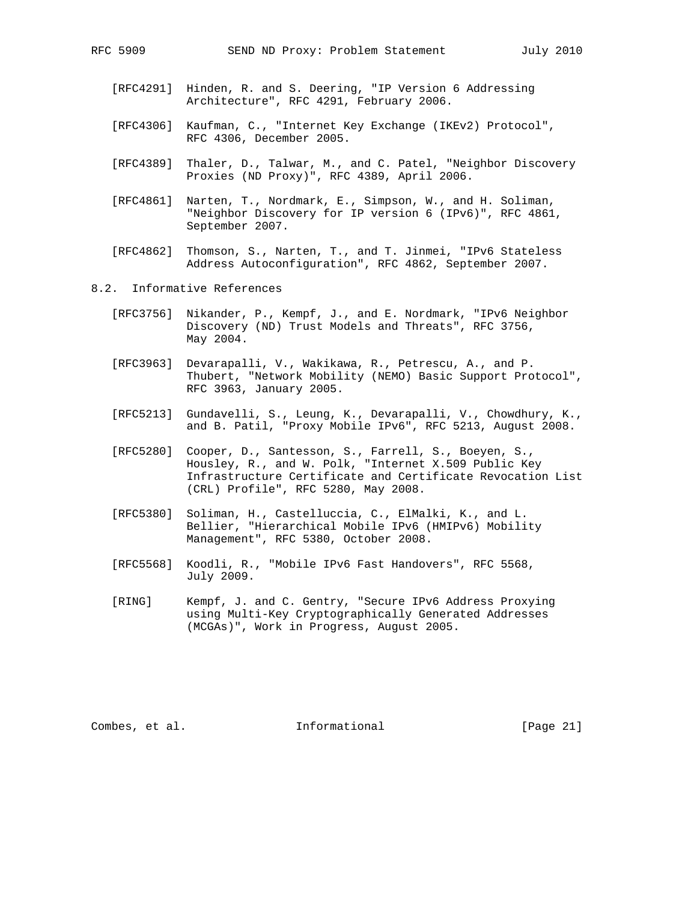- [RFC4291] Hinden, R. and S. Deering, "IP Version 6 Addressing Architecture", RFC 4291, February 2006.
- [RFC4306] Kaufman, C., "Internet Key Exchange (IKEv2) Protocol", RFC 4306, December 2005.
- [RFC4389] Thaler, D., Talwar, M., and C. Patel, "Neighbor Discovery Proxies (ND Proxy)", RFC 4389, April 2006.
- [RFC4861] Narten, T., Nordmark, E., Simpson, W., and H. Soliman, "Neighbor Discovery for IP version 6 (IPv6)", RFC 4861, September 2007.
- [RFC4862] Thomson, S., Narten, T., and T. Jinmei, "IPv6 Stateless Address Autoconfiguration", RFC 4862, September 2007.
- 8.2. Informative References
	- [RFC3756] Nikander, P., Kempf, J., and E. Nordmark, "IPv6 Neighbor Discovery (ND) Trust Models and Threats", RFC 3756, May 2004.
	- [RFC3963] Devarapalli, V., Wakikawa, R., Petrescu, A., and P. Thubert, "Network Mobility (NEMO) Basic Support Protocol", RFC 3963, January 2005.
	- [RFC5213] Gundavelli, S., Leung, K., Devarapalli, V., Chowdhury, K., and B. Patil, "Proxy Mobile IPv6", RFC 5213, August 2008.
	- [RFC5280] Cooper, D., Santesson, S., Farrell, S., Boeyen, S., Housley, R., and W. Polk, "Internet X.509 Public Key Infrastructure Certificate and Certificate Revocation List (CRL) Profile", RFC 5280, May 2008.
	- [RFC5380] Soliman, H., Castelluccia, C., ElMalki, K., and L. Bellier, "Hierarchical Mobile IPv6 (HMIPv6) Mobility Management", RFC 5380, October 2008.
	- [RFC5568] Koodli, R., "Mobile IPv6 Fast Handovers", RFC 5568, July 2009.
	- [RING] Kempf, J. and C. Gentry, "Secure IPv6 Address Proxying using Multi-Key Cryptographically Generated Addresses (MCGAs)", Work in Progress, August 2005.

Combes, et al. 1nformational [Page 21]